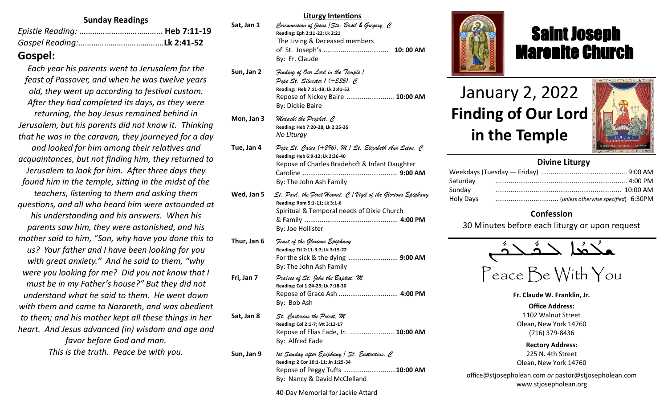#### **Sunday Readings**

| $\bigcap$ $\bigcap$ $\bigcap$ $\bigcap$ $\bigcap$ $\bigcap$ $\bigcap$ |  |
|-----------------------------------------------------------------------|--|

## **Gospel:**

*Each year his parents went to Jerusalem for the feast of Passover, and when he was twelve years old, they went up according to festival custom. After they had completed its days, as they were returning, the boy Jesus remained behind in Jerusalem, but his parents did not know it. Thinking that he was in the caravan, they journeyed for a day and looked for him among their relatives and acquaintances, but not finding him, they returned to Jerusalem to look for him. After three days they found him in the temple, sitting in the midst of the teachers, listening to them and asking them questions, and all who heard him were astounded at his understanding and his answers. When his parents saw him, they were astonished, and his mother said to him, "Son, why have you done this to us? Your father and I have been looking for you with great anxiety." And he said to them, "why were you looking for me? Did you not know that I must be in my Father's house?" But they did not understand what he said to them. He went down with them and came to Nazareth, and was obedient to them; and his mother kept all these things in her heart. And Jesus advanced (in) wisdom and age and favor before God and man. This is the truth. Peace be with you.*

#### **Sat, Jan 1** *Circumcision of Jesus /Sts. Basil & Gregory, C*  **Reading: Eph 2:11-22; Lk 2:21** The Living & Deceased members of St. Joseph's .................................. **10: 00 AM** By: Fr. Claude **Sun, Jan 2** *Finding of Our Lord in the Temple / Pope St. Silvester 1 (+335), C* **Reading: Heb 7:11-19; Lk 2:41-52** Repose of Nickey Baire ......................... **10:00 AM** By: Dickie Baire **Mon, Jan 3** *Malachi the Prophet, C* **Reading: Heb 7:20-28; Lk 2:25-35** *No Liturgy* **Tue, Jan 4** *Pope St. Caius (+296), M / St. Elizabeth Ann Seton, C* **Reading: Heb 6:9-12; Lk 2:36-40** Repose of Charles Bradehoft & Infant Daughter Caroline .................................................. **9:00 AM** By: The John Ash Family **Wed, Jan 5** *St. Paul, the First Hermit, C / Vigil of the Glorious Epiphany* **Reading: Rom 5:1-11; Lk 3:1-6** Spiritual & Temporal needs of Dixie Church & Family ................................................. **4:00 PM** By: Joe Hollister **Thur, Jan 6** *Feast of the Glorious Epiphany* **Reading: Tit 2:11-3:7; Lk 3:15-22** For the sick & the dying .......................... **9:00 AM**  By: The John Ash Family **Fri, Jan 7** *Praises of St. John the Baptist, M* **Reading: Col 1:24-29; Lk 7:18-30** Repose of Grace Ash ............................... **4:00 PM** By: Bob Ash **Sat, Jan 8** *St. Carterius the Priest, M* **Reading: Col 2:1-7; Mt 3:13-17** Repose of Elias Eade, Jr. ....................... **10:00 AM** By: Alfred Eade **Sun, Jan 9** *1st Sunday after Epiphany / St. Eustratius, C* **Reading: 2 Cor 10:1-11; Jn 1:29-34**

**Liturgy Intentions**



# Saint Joseph Maronite Church

# January 2, 2022 **Finding of Our Lord in the Temple**

ī



#### **Divine Liturgy**

| Saturday  |  |
|-----------|--|
| Sunday    |  |
| Holy Days |  |

#### **Confession**

30 Minutes before each liturgy or upon request

$$
\overbrace{\text{minimize}}^{\text{a}} \overbrace{\text{min}}
$$

Peace Be With You

**Fr. Claude W. Franklin, Jr.**

**Office Address:** 1102 Walnut Street Olean, New York 14760 (716) 379-8436

**Rectory Address:** 225 N. 4th Street Olean, New York 14760

office@stjosepholean.com *or* pastor@stjosepholean.com www.stjosepholean.org

40-Day Memorial for Jackie Attard

By: Nancy & David McClelland

Repose of Peggy Tufts ...........................**10:00 AM**